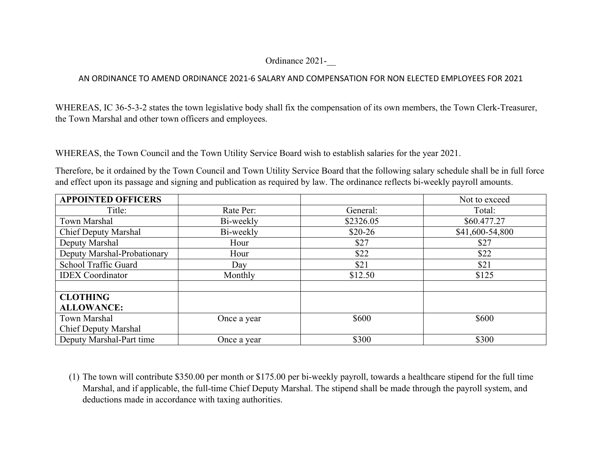## Ordinance 2021-\_\_

## AN ORDINANCE TO AMEND ORDINANCE 2021-6 SALARY AND COMPENSATION FOR NON ELECTED EMPLOYEES FOR 2021

WHEREAS, IC 36-5-3-2 states the town legislative body shall fix the compensation of its own members, the Town Clerk-Treasurer, the Town Marshal and other town officers and employees.

WHEREAS, the Town Council and the Town Utility Service Board wish to establish salaries for the year 2021.

Therefore, be it ordained by the Town Council and Town Utility Service Board that the following salary schedule shall be in full force and effect upon its passage and signing and publication as required by law. The ordinance reflects bi-weekly payroll amounts.

| <b>APPOINTED OFFICERS</b>   |             |           | Not to exceed   |
|-----------------------------|-------------|-----------|-----------------|
| Title:                      | Rate Per:   | General:  | Total:          |
| Town Marshal                | Bi-weekly   | \$2326.05 | \$60.477.27     |
| <b>Chief Deputy Marshal</b> | Bi-weekly   | $$20-26$  | \$41,600-54,800 |
| Deputy Marshal              | Hour        | \$27      | \$27            |
| Deputy Marshal-Probationary | Hour        | \$22      | \$22            |
| School Traffic Guard        | Day         | \$21      | \$21            |
| <b>IDEX</b> Coordinator     | Monthly     | \$12.50   | \$125           |
|                             |             |           |                 |
| <b>CLOTHING</b>             |             |           |                 |
| <b>ALLOWANCE:</b>           |             |           |                 |
| Town Marshal                | Once a year | \$600     | \$600           |
| <b>Chief Deputy Marshal</b> |             |           |                 |
| Deputy Marshal-Part time    | Once a year | \$300     | \$300           |

(1) The town will contribute \$350.00 per month or \$175.00 per bi-weekly payroll, towards a healthcare stipend for the full time Marshal, and if applicable, the full-time Chief Deputy Marshal. The stipend shall be made through the payroll system, and deductions made in accordance with taxing authorities.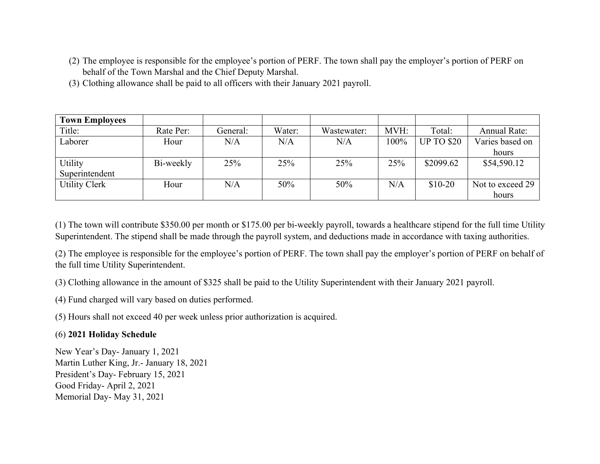- (2) The employee is responsible for the employee's portion of PERF. The town shall pay the employer's portion of PERF on behalf of the Town Marshal and the Chief Deputy Marshal.
- (3) Clothing allowance shall be paid to all officers with their January 2021 payroll.

| <b>Town Employees</b> |           |          |        |             |      |                   |                     |
|-----------------------|-----------|----------|--------|-------------|------|-------------------|---------------------|
| Title:                | Rate Per: | General: | Water: | Wastewater: | MVH: | Total:            | <b>Annual Rate:</b> |
| Laborer               | Hour      | N/A      | N/A    | N/A         | 100% | <b>UP TO \$20</b> | Varies based on     |
|                       |           |          |        |             |      |                   | hours               |
| Utility               | Bi-weekly | 25%      | 25%    | 25%         | 25%  | \$2099.62         | \$54,590.12         |
| Superintendent        |           |          |        |             |      |                   |                     |
| <b>Utility Clerk</b>  | Hour      | N/A      | 50%    | 50%         | N/A  | $$10-20$          | Not to exceed 29    |
|                       |           |          |        |             |      |                   | hours               |

(1) The town will contribute \$350.00 per month or \$175.00 per bi-weekly payroll, towards a healthcare stipend for the full time Utility Superintendent. The stipend shall be made through the payroll system, and deductions made in accordance with taxing authorities.

(2) The employee is responsible for the employee's portion of PERF. The town shall pay the employer's portion of PERF on behalf of the full time Utility Superintendent.

(3) Clothing allowance in the amount of \$325 shall be paid to the Utility Superintendent with their January 2021 payroll.

(4) Fund charged will vary based on duties performed.

(5) Hours shall not exceed 40 per week unless prior authorization is acquired.

## (6) **2021 Holiday Schedule**

New Year's Day- January 1, 2021 Martin Luther King, Jr.- January 18, 2021 President's Day- February 15, 2021 Good Friday- April 2, 2021 Memorial Day- May 31, 2021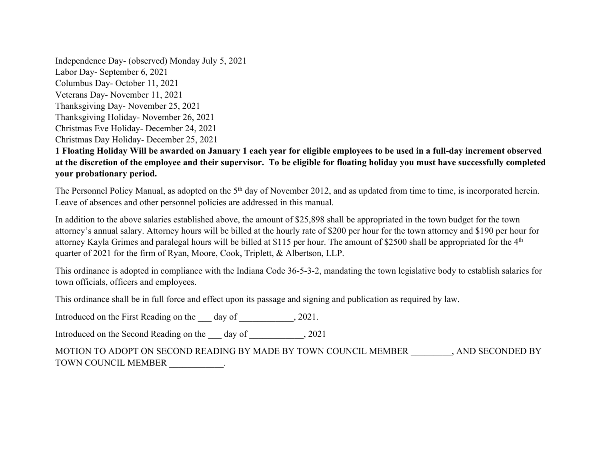Independence Day- (observed) Monday July 5, 2021 Labor Day- September 6, 2021 Columbus Day- October 11, 2021 Veterans Day- November 11, 2021 Thanksgiving Day- November 25, 2021 Thanksgiving Holiday- November 26, 2021 Christmas Eve Holiday- December 24, 2021 Christmas Day Holiday- December 25, 2021

**1 Floating Holiday Will be awarded on January 1 each year for eligible employees to be used in a full-day increment observed at the discretion of the employee and their supervisor. To be eligible for floating holiday you must have successfully completed your probationary period.**

The Personnel Policy Manual, as adopted on the 5<sup>th</sup> day of November 2012, and as updated from time to time, is incorporated herein. Leave of absences and other personnel policies are addressed in this manual.

In addition to the above salaries established above, the amount of \$25,898 shall be appropriated in the town budget for the town attorney's annual salary. Attorney hours will be billed at the hourly rate of \$200 per hour for the town attorney and \$190 per hour for attorney Kayla Grimes and paralegal hours will be billed at \$115 per hour. The amount of \$2500 shall be appropriated for the 4<sup>th</sup> quarter of 2021 for the firm of Ryan, Moore, Cook, Triplett, & Albertson, LLP.

This ordinance is adopted in compliance with the Indiana Code 36-5-3-2, mandating the town legislative body to establish salaries for town officials, officers and employees.

This ordinance shall be in full force and effect upon its passage and signing and publication as required by law.

Introduced on the First Reading on the day of , 2021.

Introduced on the Second Reading on the \_\_\_\_\_\_ day of  $\qquad \qquad .2021$ 

MOTION TO ADOPT ON SECOND READING BY MADE BY TOWN COUNCIL MEMBER , AND SECONDED BY TOWN COUNCIL MEMBER  $\qquad \qquad .$